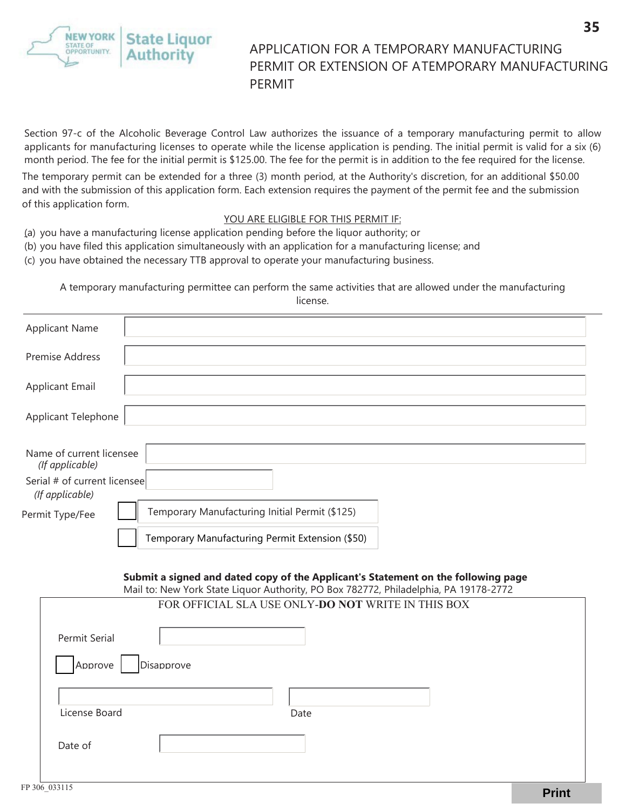state Liguor STATE OF<br>OPPORTUNITY. Authoritv

## APPLICATION FOR A TEMPORARY MANUFACTURING PERMIT OR EXTENSION OF ATEMPORARY MANUFACTURING PERMIT

Section 97-c of the Alcoholic Beverage Control Law authorizes the issuance of a temporary manufacturing permit to allow applicants for manufacturing licenses to operate while the license application is pending. The initial permit is valid for a six (6) month period. The fee for the initial permit is \$125.00. The fee for the permit is in addition to the fee required for the license.

The temporary permit can be extended for a three (3) month period, at the Authority's discretion, for an additional \$50.00 and with the submission of this application form. Each extension requires the payment of the permit fee and the submission of this application form.

## YOU ARE ELIGIBLE FOR THIS PERMIT IF:

- (a) you have a manufacturing license application pending before the liquor authority; or
- (b) you have filed this application simultaneously with an application for a manufacturing license; and
- (c) you have obtained the necessary TTB approval to operate your manufacturing business.

A temporary manufacturing permittee can perform the same activities that are allowed under the manufacturing license.

| <b>Applicant Name</b>                           |                                                 |
|-------------------------------------------------|-------------------------------------------------|
| <b>Premise Address</b>                          |                                                 |
| <b>Applicant Email</b>                          |                                                 |
| <b>Applicant Telephone</b>                      |                                                 |
| Name of current licensee<br>(If applicable)     |                                                 |
| Serial # of current licensee<br>(If applicable) |                                                 |
| Permit Type/Fee                                 | Temporary Manufacturing Initial Permit (\$125)  |
|                                                 | Temporary Manufacturing Permit Extension (\$50) |

## **Submit a signed and dated copy of the Applicant's Statement on the following page** Mail to: New York State Liquor Authority, PO Box 782772, Philadelphia, PA 19178-2772

| $\alpha$ ividit to: New TOTK state Liquor Authority, FO box TOZTTZ, Filliaueiphia, FA 13170-2112 |                                                    |  |  |  |  |
|--------------------------------------------------------------------------------------------------|----------------------------------------------------|--|--|--|--|
|                                                                                                  | FOR OFFICIAL SLA USE ONLY-DO NOT WRITE IN THIS BOX |  |  |  |  |
| Permit Serial                                                                                    |                                                    |  |  |  |  |
| Disapprove<br>Approve                                                                            |                                                    |  |  |  |  |
|                                                                                                  |                                                    |  |  |  |  |
| License Board                                                                                    | Date                                               |  |  |  |  |
| Date of                                                                                          |                                                    |  |  |  |  |